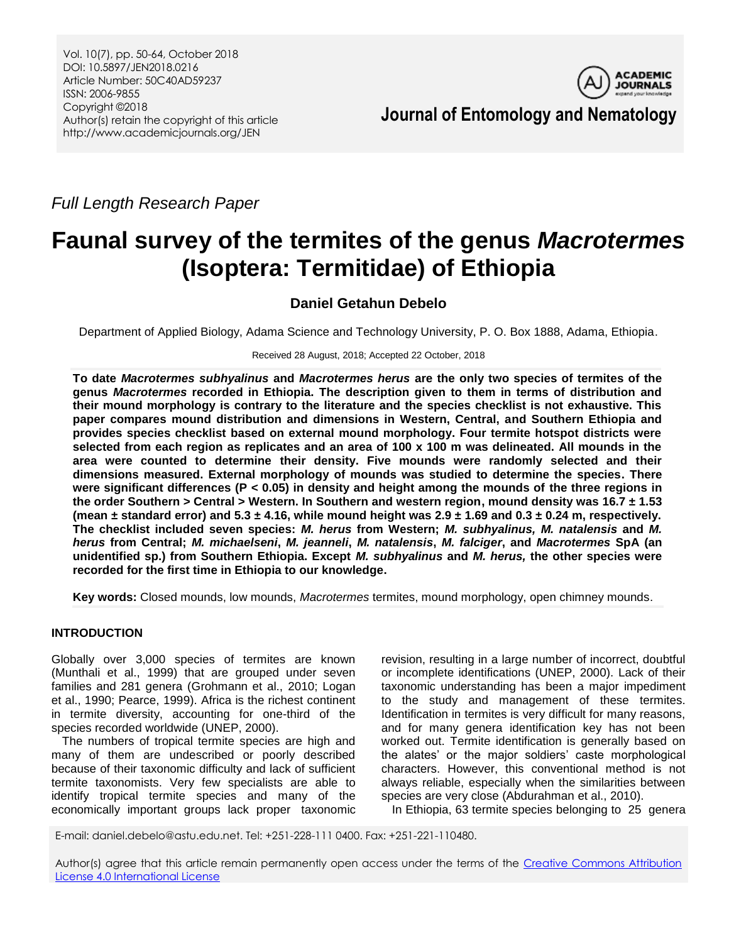

**Journal of Entomology and Nematology**

*Full Length Research Paper*

# **Faunal survey of the termites of the genus** *Macrotermes* **(Isoptera: Termitidae) of Ethiopia**

# **Daniel Getahun Debelo**

Department of Applied Biology, Adama Science and Technology University, P. O. Box 1888, Adama, Ethiopia.

Received 28 August, 2018; Accepted 22 October, 2018

**To date** *Macrotermes subhyalinus* **and** *Macrotermes herus* **are the only two species of termites of the genus** *Macrotermes* **recorded in Ethiopia. The description given to them in terms of distribution and their mound morphology is contrary to the literature and the species checklist is not exhaustive. This paper compares mound distribution and dimensions in Western, Central, and Southern Ethiopia and provides species checklist based on external mound morphology. Four termite hotspot districts were selected from each region as replicates and an area of 100 x 100 m was delineated. All mounds in the area were counted to determine their density. Five mounds were randomly selected and their dimensions measured. External morphology of mounds was studied to determine the species. There were significant differences (P < 0.05) in density and height among the mounds of the three regions in the order Southern > Central > Western. In Southern and western region, mound density was 16.7 ± 1.53**  (mean  $\pm$  standard error) and 5.3  $\pm$  4.16, while mound height was 2.9  $\pm$  1.69 and 0.3  $\pm$  0.24 m, respectively. **The checklist included seven species:** *M. herus* **from Western;** *M. subhyalinus, M. natalensis* **and** *M. herus* **from Central;** *M. michaelseni***,** *M. jeanneli***,** *M. natalensis***,** *M. falciger***, and** *Macrotermes* **SpA (an unidentified sp.) from Southern Ethiopia. Except** *M. subhyalinus* **and** *M. herus,* **the other species were recorded for the first time in Ethiopia to our knowledge.**

**Key words:** Closed mounds, low mounds, *Macrotermes* termites, mound morphology, open chimney mounds.

# **INTRODUCTION**

Globally over 3,000 species of termites are known (Munthali et al., 1999) that are grouped under seven families and 281 genera (Grohmann et al., 2010; Logan et al., 1990; Pearce, 1999). Africa is the richest continent in termite diversity, accounting for one-third of the species recorded worldwide (UNEP, 2000).

The numbers of tropical termite species are high and many of them are undescribed or poorly described because of their taxonomic difficulty and lack of sufficient termite taxonomists. Very few specialists are able to identify tropical termite species and many of the economically important groups lack proper taxonomic revision, resulting in a large number of incorrect, doubtful or incomplete identifications (UNEP, 2000). Lack of their taxonomic understanding has been a major impediment to the study and management of these termites. Identification in termites is very difficult for many reasons, and for many genera identification key has not been worked out. Termite identification is generally based on the alates' or the major soldiers' caste morphological characters. However, this conventional method is not always reliable, especially when the similarities between species are very close (Abdurahman et al., 2010).

In Ethiopia, 63 termite species belonging to 25 genera

E-mail: daniel.debelo@astu.edu.net. Tel: +251-228-111 0400. Fax: +251-221-110480.

Author(s) agree that this article remain permanently open access under the terms of the Creative Commons Attribution [License 4.0 International License](http://creativecommons.org/licenses/by/4.0/deed.en_US)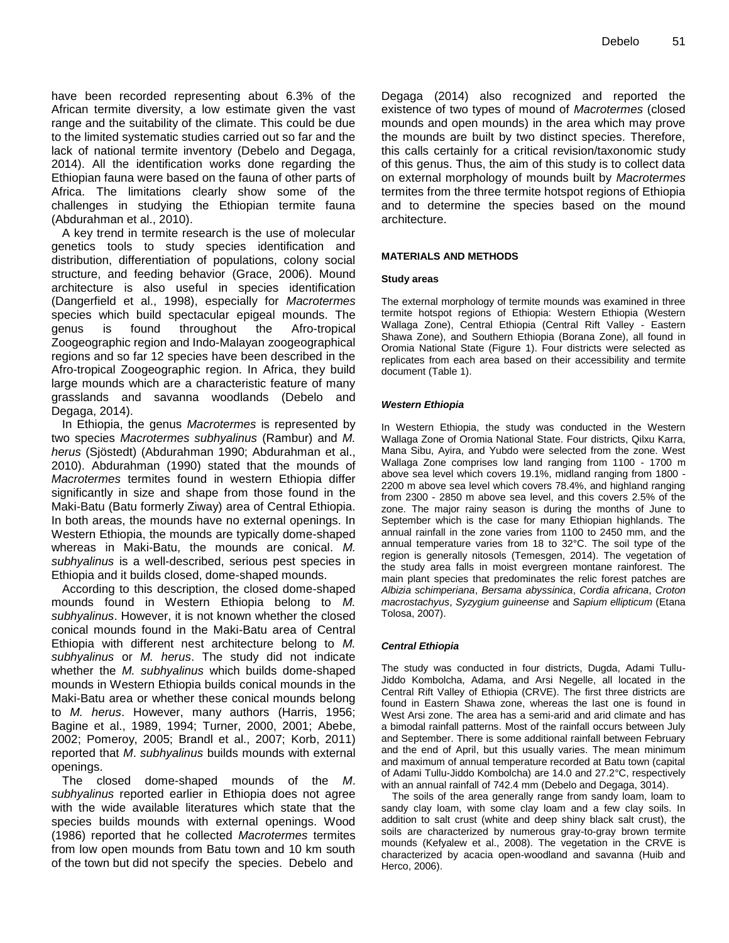have been recorded representing about 6.3% of the African termite diversity, a low estimate given the vast range and the suitability of the climate. This could be due to the limited systematic studies carried out so far and the lack of national termite inventory (Debelo and Degaga, 2014). All the identification works done regarding the Ethiopian fauna were based on the fauna of other parts of Africa. The limitations clearly show some of the challenges in studying the Ethiopian termite fauna (Abdurahman et al., 2010).

A key trend in termite research is the use of molecular genetics tools to study species identification and distribution, differentiation of populations, colony social structure, and feeding behavior (Grace, 2006). Mound architecture is also useful in species identification (Dangerfield et al., 1998), especially for *Macrotermes* species which build spectacular epigeal mounds. The genus is found throughout the Afro-tropical Zoogeographic region and Indo-Malayan zoogeographical regions and so far 12 species have been described in the Afro-tropical Zoogeographic region. In Africa, they build large mounds which are a characteristic feature of many grasslands and savanna woodlands (Debelo and Degaga, 2014).

In Ethiopia, the genus *Macrotermes* is represented by two species *Macrotermes subhyalinus* (Rambur) and *M. herus* (Sjöstedt) (Abdurahman 1990; Abdurahman et al., 2010). Abdurahman (1990) stated that the mounds of *Macrotermes* termites found in western Ethiopia differ significantly in size and shape from those found in the Maki-Batu (Batu formerly Ziway) area of Central Ethiopia. In both areas, the mounds have no external openings. In Western Ethiopia, the mounds are typically dome-shaped whereas in Maki-Batu, the mounds are conical. *M. subhyalinus* is a well-described, serious pest species in Ethiopia and it builds closed, dome-shaped mounds.

According to this description, the closed dome-shaped mounds found in Western Ethiopia belong to *M. subhyalinus*. However, it is not known whether the closed conical mounds found in the Maki-Batu area of Central Ethiopia with different nest architecture belong to *M. subhyalinus* or *M. herus*. The study did not indicate whether the *M. subhyalinus* which builds dome-shaped mounds in Western Ethiopia builds conical mounds in the Maki-Batu area or whether these conical mounds belong to *M. herus*. However, many authors (Harris, 1956; Bagine et al., 1989, 1994; Turner, 2000, 2001; Abebe, 2002; Pomeroy, 2005; Brandl et al., 2007; Korb, 2011) reported that *M*. *subhyalinus* builds mounds with external openings.

The closed dome-shaped mounds of the *M*. *subhyalinus* reported earlier in Ethiopia does not agree with the wide available literatures which state that the species builds mounds with external openings. Wood (1986) reported that he collected *Macrotermes* termites from low open mounds from Batu town and 10 km south of the town but did not specify the species. Debelo and

Degaga (2014) also recognized and reported the existence of two types of mound of *Macrotermes* (closed mounds and open mounds) in the area which may prove the mounds are built by two distinct species. Therefore, this calls certainly for a critical revision/taxonomic study of this genus. Thus, the aim of this study is to collect data on external morphology of mounds built by *Macrotermes* termites from the three termite hotspot regions of Ethiopia and to determine the species based on the mound architecture.

#### **MATERIALS AND METHODS**

#### **Study areas**

The external morphology of termite mounds was examined in three termite hotspot regions of Ethiopia: Western Ethiopia (Western Wallaga Zone), Central Ethiopia (Central Rift Valley - Eastern Shawa Zone), and Southern Ethiopia (Borana Zone), all found in Oromia National State (Figure 1). Four districts were selected as replicates from each area based on their accessibility and termite document (Table 1).

#### *Western Ethiopia*

In Western Ethiopia, the study was conducted in the Western Wallaga Zone of Oromia National State. Four districts, Qilxu Karra, Mana Sibu, Ayira, and Yubdo were selected from the zone. West Wallaga Zone comprises low land ranging from 1100 - 1700 m above sea level which covers 19.1%, midland ranging from 1800 - 2200 m above sea level which covers 78.4%, and highland ranging from 2300 - 2850 m above sea level, and this covers 2.5% of the zone. The major rainy season is during the months of June to September which is the case for many Ethiopian highlands. The annual rainfall in the zone varies from 1100 to 2450 mm, and the annual temperature varies from 18 to 32°C. The soil type of the region is generally nitosols (Temesgen, 2014). The vegetation of the study area falls in moist evergreen montane rainforest. The main plant species that predominates the relic forest patches are *Albizia schimperiana*, *Bersama abyssinica*, *Cordia africana*, *Croton macrostachyus*, *Syzygium guineense* and *Sapium ellipticum* (Etana Tolosa, 2007).

#### *Central Ethiopia*

The study was conducted in four districts, Dugda, Adami Tullu-Jiddo Kombolcha, Adama, and Arsi Negelle, all located in the Central Rift Valley of Ethiopia (CRVE). The first three districts are found in Eastern Shawa zone, whereas the last one is found in West Arsi zone. The area has a semi-arid and arid climate and has a bimodal rainfall patterns. Most of the rainfall occurs between July and September. There is some additional rainfall between February and the end of April, but this usually varies. The mean minimum and maximum of annual temperature recorded at Batu town (capital of Adami Tullu-Jiddo Kombolcha) are 14.0 and 27.2°C, respectively with an annual rainfall of 742.4 mm (Debelo and Degaga, 3014).

The soils of the area generally range from sandy loam, loam to sandy clay loam, with some clay loam and a few clay soils. In addition to salt crust (white and deep shiny black salt crust), the soils are characterized by numerous gray-to-gray brown termite mounds (Kefyalew et al., 2008). The vegetation in the CRVE is characterized by acacia open-woodland and savanna (Huib and Herco, 2006).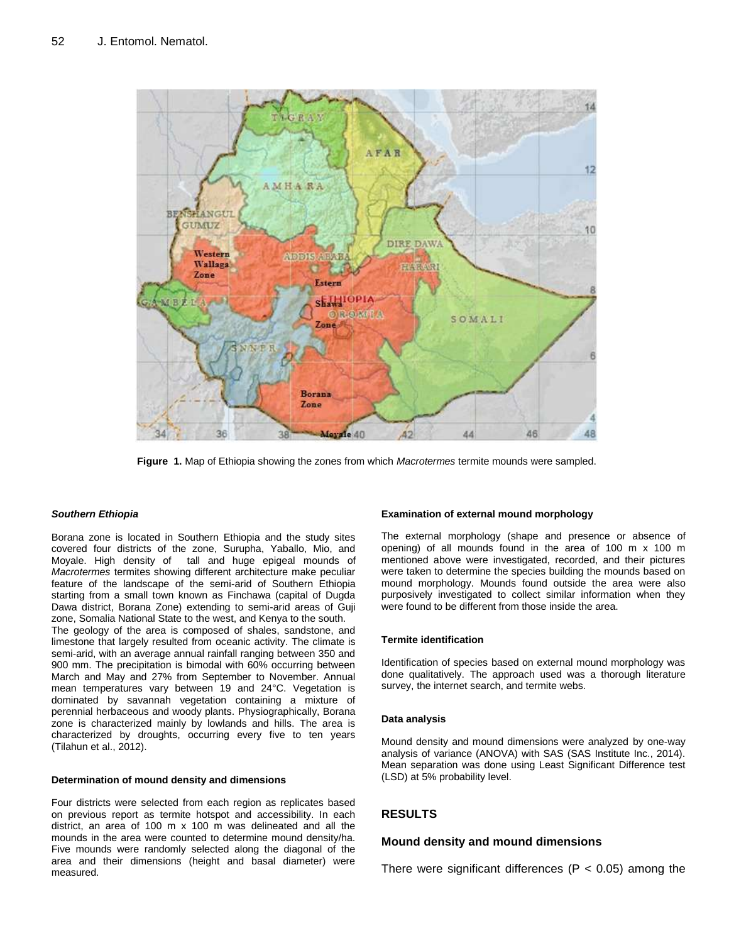

**Figure 1.** Map of Ethiopia showing the zones from which *Macrotermes* termite mounds were sampled.

#### *Southern Ethiopia*

Borana zone is located in Southern Ethiopia and the study sites covered four districts of the zone, Surupha, Yaballo, Mio, and Moyale. High density of tall and huge epigeal mounds of *Macrotermes* termites showing different architecture make peculiar feature of the landscape of the semi-arid of Southern Ethiopia starting from a small town known as Finchawa (capital of Dugda Dawa district, Borana Zone) extending to semi-arid areas of Guji zone, Somalia National State to the west, and Kenya to the south. The geology of the area is composed of shales, sandstone, and limestone that largely resulted from oceanic activity. The climate is semi-arid, with an average annual rainfall ranging between 350 and 900 mm. The precipitation is bimodal with 60% occurring between March and May and 27% from September to November. Annual mean temperatures vary between 19 and 24°C. Vegetation is dominated by savannah vegetation containing a mixture of perennial herbaceous and woody plants. Physiographically, Borana zone is characterized mainly by lowlands and hills. The area is characterized by droughts, occurring every five to ten years (Tilahun et al., 2012).

#### **Determination of mound density and dimensions**

Four districts were selected from each region as replicates based on previous report as termite hotspot and accessibility. In each district, an area of 100 m x 100 m was delineated and all the mounds in the area were counted to determine mound density/ha. Five mounds were randomly selected along the diagonal of the area and their dimensions (height and basal diameter) were measured.

#### **Examination of external mound morphology**

The external morphology (shape and presence or absence of opening) of all mounds found in the area of 100 m x 100 m mentioned above were investigated, recorded, and their pictures were taken to determine the species building the mounds based on mound morphology. Mounds found outside the area were also purposively investigated to collect similar information when they were found to be different from those inside the area.

#### **Termite identification**

Identification of species based on external mound morphology was done qualitatively. The approach used was a thorough literature survey, the internet search, and termite webs.

#### **Data analysis**

Mound density and mound dimensions were analyzed by one-way analysis of variance (ANOVA) with SAS (SAS Institute Inc., 2014). Mean separation was done using Least Significant Difference test (LSD) at 5% probability level.

# **RESULTS**

#### **Mound density and mound dimensions**

There were significant differences ( $P < 0.05$ ) among the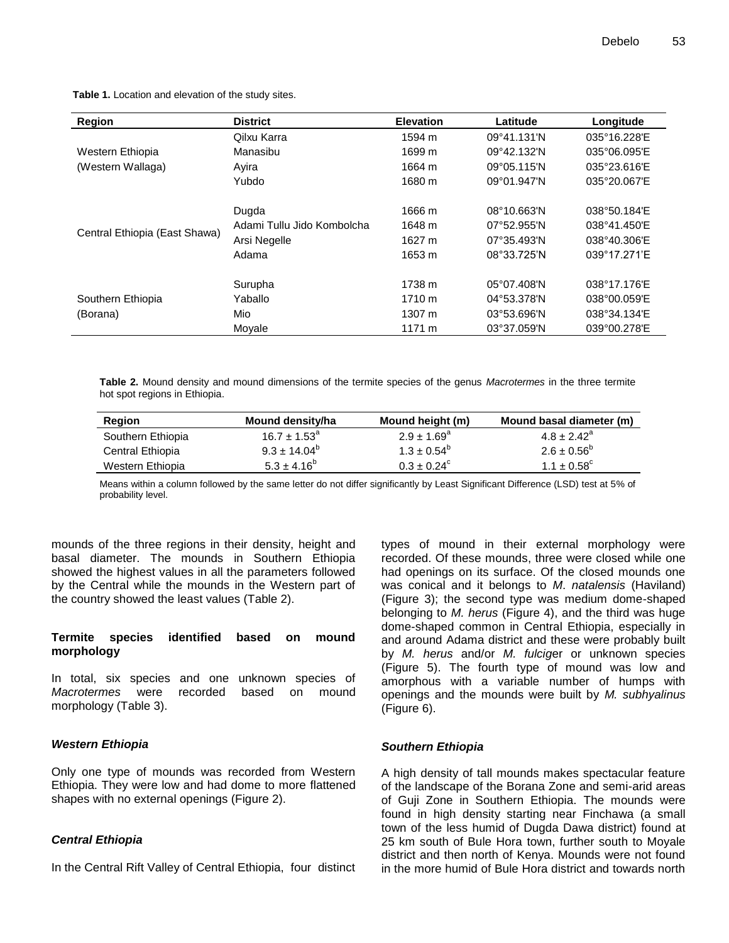**Table 1.** Location and elevation of the study sites.

| Region                                | <b>District</b>            | <b>Elevation</b> | Latitude                     | Longitude    |
|---------------------------------------|----------------------------|------------------|------------------------------|--------------|
| Western Ethiopia<br>(Western Wallaga) | Qilxu Karra                | 1594 m           | 09°41.131'N                  | 035°16.228'E |
|                                       | Manasibu                   | 1699 m           | 09°42.132'N                  | 035°06.095'E |
|                                       | Avira                      | 1664 m           | 09°05.115'N                  | 035°23.616'E |
|                                       | Yubdo                      | 1680 m           | 09°01.947'N                  | 035°20.067'E |
| Central Ethiopia (East Shawa)         | Dugda                      | 1666 m           | $08^{\circ}10.663^{\prime}N$ | 038°50.184'E |
|                                       | Adami Tullu Jido Kombolcha | 1648 m           | $07^{\circ}52.955^{\prime}N$ | 038°41.450'E |
|                                       | Arsi Negelle               | 1627 m           | 07°35.493'N                  | 038°40.306'E |
|                                       | Adama                      | 1653 m           | 08°33.725'N                  | 039°17.271'E |
| Southern Ethiopia<br>(Borana)         | Surupha                    | 1738 m           | $05^{\circ}07.408^{\prime}N$ | 038°17.176'E |
|                                       | Yaballo                    | 1710 m           | 04°53.378'N                  | 038°00.059'E |
|                                       | Mio                        | 1307 m           | 03°53.696'N                  | 038°34.134'E |
|                                       | Movale                     | 1171 m           | 03°37.059'N                  | 039°00.278'E |

**Table 2.** Mound density and mound dimensions of the termite species of the genus *Macrotermes* in the three termite hot spot regions in Ethiopia.

| Region            | <b>Mound density/ha</b> | Mound height (m)       | Mound basal diameter (m) |
|-------------------|-------------------------|------------------------|--------------------------|
| Southern Ethiopia | $16.7 \pm 1.53^a$       | $2.9 \pm 1.69^a$       | $4.8 \pm 2.42^a$         |
| Central Ethiopia  | $9.3 \pm 14.04^b$       | $1.3 \pm 0.54^{\circ}$ | $2.6 \pm 0.56^{\circ}$   |
| Western Ethiopia  | $5.3 \pm 4.16^b$        | $0.3 \pm 0.24^{\circ}$ | $1.1 \pm 0.58^{\circ}$   |

Means within a column followed by the same letter do not differ significantly by Least Significant Difference (LSD) test at 5% of probability level.

mounds of the three regions in their density, height and basal diameter. The mounds in Southern Ethiopia showed the highest values in all the parameters followed by the Central while the mounds in the Western part of the country showed the least values (Table 2).

# **Termite species identified based on mound morphology**

In total, six species and one unknown species of *Macrotermes* were recorded based on mound morphology (Table 3).

#### *Western Ethiopia*

Only one type of mounds was recorded from Western Ethiopia. They were low and had dome to more flattened shapes with no external openings (Figure 2).

#### *Central Ethiopia*

In the Central Rift Valley of Central Ethiopia, four distinct

types of mound in their external morphology were recorded. Of these mounds, three were closed while one had openings on its surface. Of the closed mounds one was conical and it belongs to *M*. *natalensis* (Haviland) (Figure 3); the second type was medium dome-shaped belonging to *M. herus* (Figure 4), and the third was huge dome-shaped common in Central Ethiopia, especially in and around Adama district and these were probably built by *M. herus* and/or *M. fulcig*er or unknown species (Figure 5). The fourth type of mound was low and amorphous with a variable number of humps with openings and the mounds were built by *M. subhyalinus*  (Figure 6).

#### *Southern Ethiopia*

A high density of tall mounds makes spectacular feature of the landscape of the Borana Zone and semi-arid areas of Guji Zone in Southern Ethiopia. The mounds were found in high density starting near Finchawa (a small town of the less humid of Dugda Dawa district) found at 25 km south of Bule Hora town, further south to Moyale district and then north of Kenya. Mounds were not found in the more humid of Bule Hora district and towards north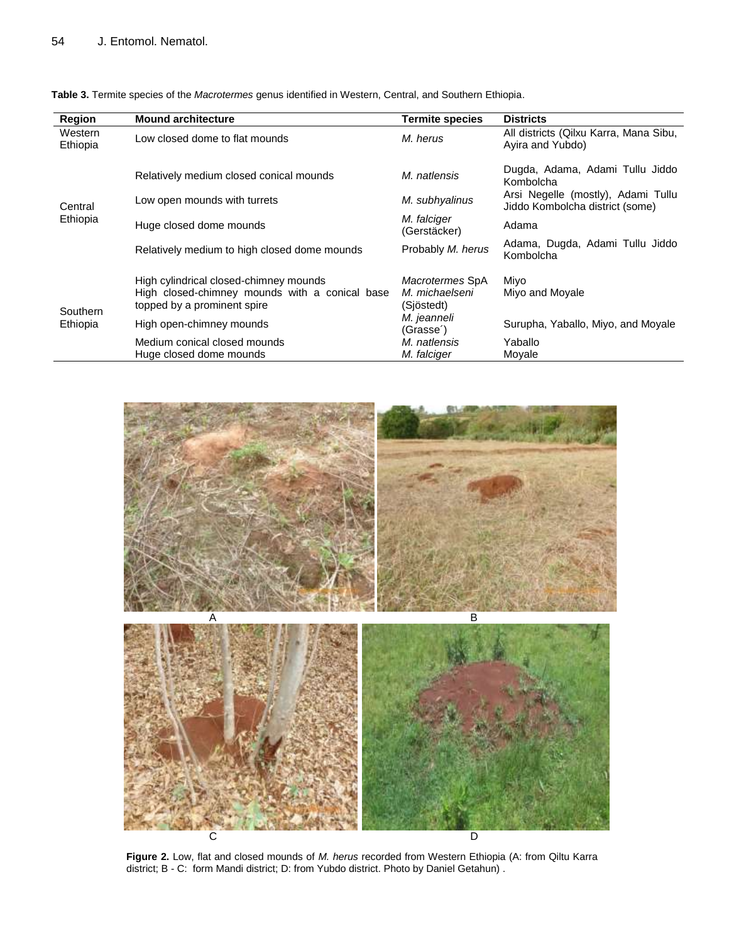| <b>Region</b>        | <b>Mound architecture</b>                                                     | <b>Termite species</b>                | <b>Districts</b>                                                                                                      |
|----------------------|-------------------------------------------------------------------------------|---------------------------------------|-----------------------------------------------------------------------------------------------------------------------|
| Western<br>Ethiopia  | Low closed dome to flat mounds                                                | M. herus                              | All districts (Qilxu Karra, Mana Sibu,<br>Ayira and Yubdo)                                                            |
| Central<br>Ethiopia  | Relatively medium closed conical mounds                                       | M. natlensis                          | Dugda, Adama, Adami Tullu Jiddo<br>Kombolcha<br>Arsi Negelle (mostly), Adami Tullu<br>Jiddo Kombolcha district (some) |
|                      | Low open mounds with turrets                                                  | M. subhyalinus                        |                                                                                                                       |
|                      | Huge closed dome mounds                                                       | M. falciger<br>(Gerstäcker)           | Adama                                                                                                                 |
|                      | Relatively medium to high closed dome mounds                                  | Probably M. herus                     | Adama, Dugda, Adami Tullu Jiddo<br>Kombolcha                                                                          |
| Southern<br>Ethiopia | High cylindrical closed-chimney mounds                                        | Macrotermes SpA                       | Miyo                                                                                                                  |
|                      | High closed-chimney mounds with a conical base<br>topped by a prominent spire | M. michaelseni<br>(Sjöstedt)          | Miyo and Moyale                                                                                                       |
|                      | High open-chimney mounds                                                      | M. jeanneli<br>(Grasse <sup>2</sup> ) | Surupha, Yaballo, Miyo, and Moyale                                                                                    |
|                      | Medium conical closed mounds                                                  | M. natlensis                          | Yaballo                                                                                                               |
|                      | Huge closed dome mounds                                                       | M. falciger                           | Movale                                                                                                                |

**Table 3.** Termite species of the *Macrotermes* genus identified in Western, Central, and Southern Ethiopia.



**Figure 2.** Low, flat and closed mounds of *M. herus* recorded from Western Ethiopia (A: from Qiltu Karra district; B - C: form Mandi district; D: from Yubdo district. Photo by Daniel Getahun) .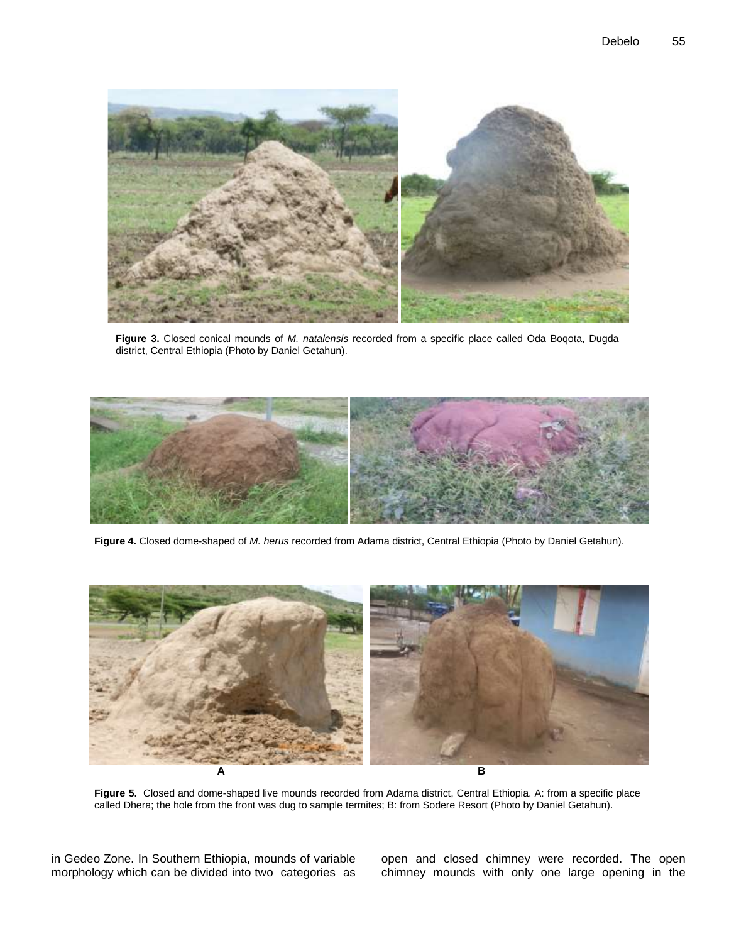

**Figure 3.** Closed conical mounds of *M. natalensis* recorded from a specific place called Oda Boqota, Dugda district, Central Ethiopia (Photo by Daniel Getahun).



**Figure 4.** Closed dome-shaped of *M. herus* recorded from Adama district, Central Ethiopia (Photo by Daniel Getahun).



**Figure 5.** Closed and dome-shaped live mounds recorded from Adama district, Central Ethiopia. A: from a specific place called Dhera; the hole from the front was dug to sample termites; B: from Sodere Resort (Photo by Daniel Getahun).

in Gedeo Zone. In Southern Ethiopia, mounds of variable morphology which can be divided into two categories as open and closed chimney were recorded. The open chimney mounds with only one large opening in the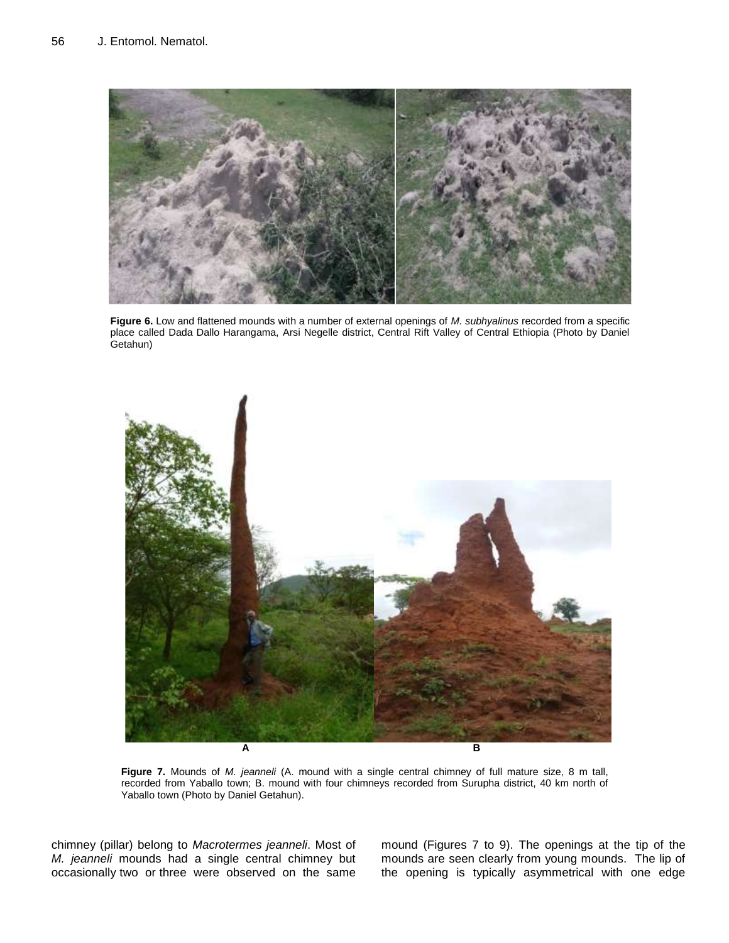

**Figure 6.** Low and flattened mounds with a number of external openings of *M. subhyalinus* recorded from a specific place called Dada Dallo Harangama, Arsi Negelle district, Central Rift Valley of Central Ethiopia (Photo by Daniel Getahun)



**Figure 7.** Mounds of *M. jeanneli* (A. mound with a single central chimney of full mature size, 8 m tall, recorded from Yaballo town; B. mound with four chimneys recorded from Surupha district, 40 km north of Yaballo town (Photo by Daniel Getahun).

chimney (pillar) belong to *Macrotermes jeanneli*. Most of *M. jeanneli* mounds had a single central chimney but occasionally two or three were observed on the same mound (Figures 7 to 9). The openings at the tip of the mounds are seen clearly from young mounds. The lip of the opening is typically asymmetrical with one edge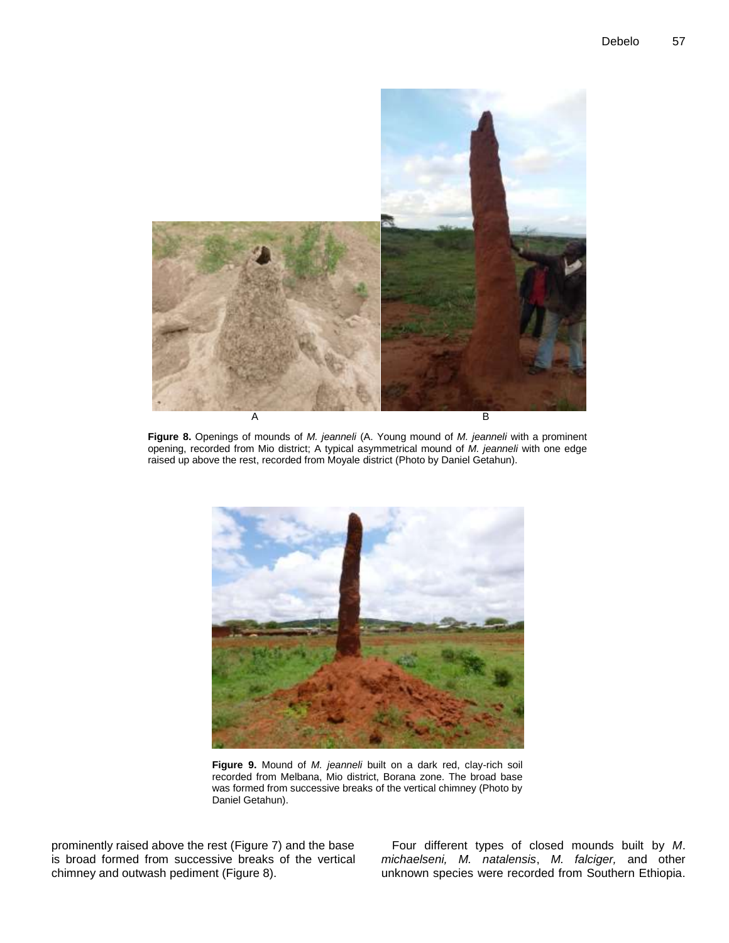

**Figure 8.** Openings of mounds of *M. jeanneli* (A. Young mound of *M. jeanneli* with a prominent opening, recorded from Mio district; A typical asymmetrical mound of *M. jeanneli* with one edge raised up above the rest, recorded from Moyale district (Photo by Daniel Getahun).



**Figure 9.** Mound of *M. jeanneli* built on a dark red, clay-rich soil recorded from Melbana, Mio district, Borana zone. The broad base was formed from successive breaks of the vertical chimney (Photo by Daniel Getahun).

prominently raised above the rest (Figure 7) and the base is broad formed from successive breaks of the vertical chimney and outwash pediment (Figure 8).

Four different types of closed mounds built by *M*. *michaelseni, M. natalensis*, *M. falciger,* and other unknown species were recorded from Southern Ethiopia.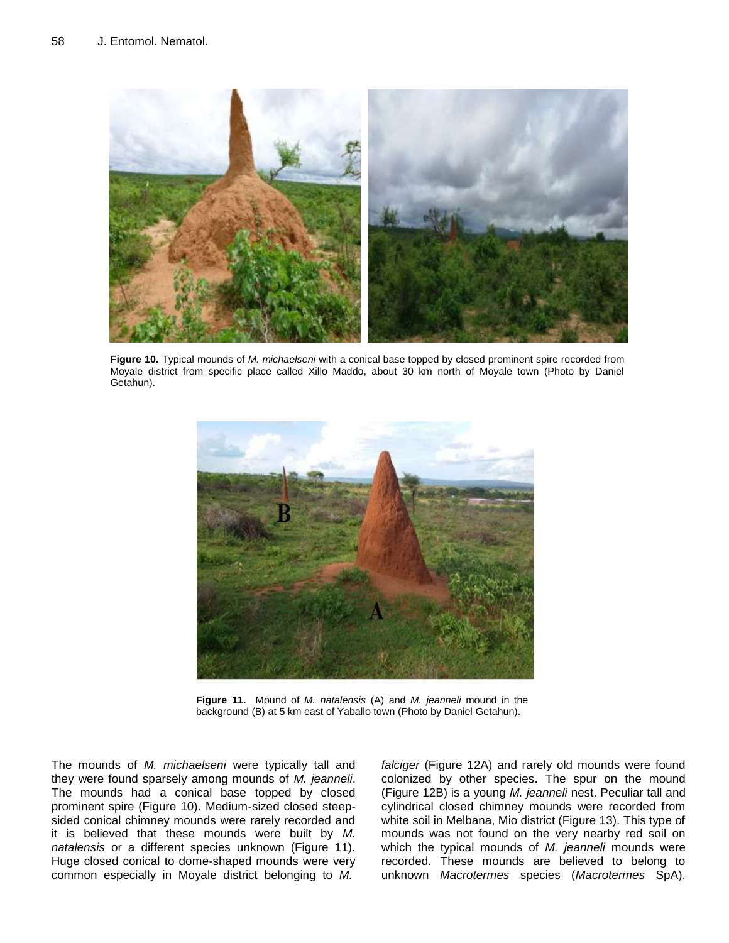

**Figure 10.** Typical mounds of *M. michaelseni* with a conical base topped by closed prominent spire recorded from Moyale district from specific place called Xillo Maddo, about 30 km north of Moyale town (Photo by Daniel Getahun).



**Figure 11.** Mound of *M. natalensis* (A) and *M. jeanneli* mound in the background (B) at 5 km east of Yaballo town (Photo by Daniel Getahun).

The mounds of *M. michaelseni* were typically tall and they were found sparsely among mounds of *M. jeanneli*. The mounds had a conical base topped by closed prominent spire (Figure 10). Medium-sized closed steepsided conical chimney mounds were rarely recorded and it is believed that these mounds were built by *M. natalensis* or a different species unknown (Figure 11). Huge closed conical to dome-shaped mounds were very common especially in Moyale district belonging to *M.* 

*falciger* (Figure 12A) and rarely old mounds were found colonized by other species. The spur on the mound (Figure 12B) is a young *M. jeanneli* nest. Peculiar tall and cylindrical closed chimney mounds were recorded from white soil in Melbana, Mio district (Figure 13). This type of mounds was not found on the very nearby red soil on which the typical mounds of *M. jeanneli* mounds were recorded. These mounds are believed to belong to unknown *Macrotermes* species (*Macrotermes* SpA).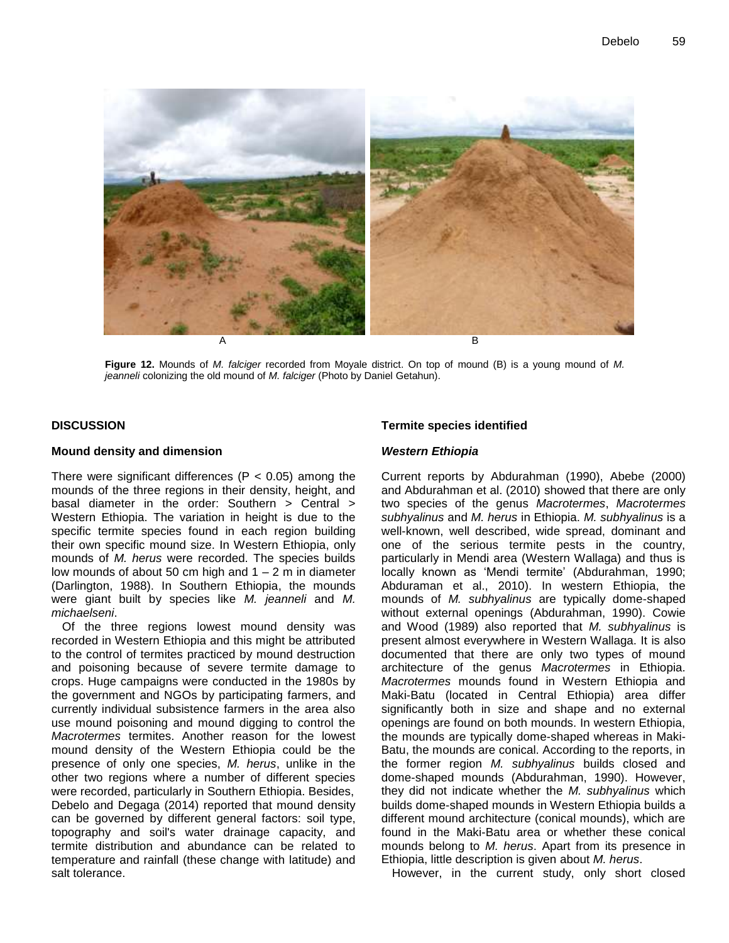

**Figure 12.** Mounds of *M. falciger* recorded from Moyale district. On top of mound (B) is a young mound of *M. jeanneli* colonizing the old mound of *M. falciger* (Photo by Daniel Getahun).

# **DISCUSSION**

# **Mound density and dimension**

There were significant differences ( $P < 0.05$ ) among the mounds of the three regions in their density, height, and basal diameter in the order: Southern > Central > Western Ethiopia. The variation in height is due to the specific termite species found in each region building their own specific mound size. In Western Ethiopia, only mounds of *M. herus* were recorded. The species builds low mounds of about 50 cm high and  $1 - 2$  m in diameter (Darlington, 1988). In Southern Ethiopia, the mounds were giant built by species like *M. jeanneli* and *M. michaelseni*.

Of the three regions lowest mound density was recorded in Western Ethiopia and this might be attributed to the control of termites practiced by mound destruction and poisoning because of severe termite damage to crops. Huge campaigns were conducted in the 1980s by the government and NGOs by participating farmers, and currently individual subsistence farmers in the area also use mound poisoning and mound digging to control the *Macrotermes* termites. Another reason for the lowest mound density of the Western Ethiopia could be the presence of only one species, *M. herus*, unlike in the other two regions where a number of different species were recorded, particularly in Southern Ethiopia. Besides, Debelo and Degaga (2014) reported that mound density can be governed by different general factors: soil type, topography and soil's water drainage capacity, and termite distribution and abundance can be related to temperature and rainfall (these change with latitude) and salt tolerance.

# **Termite species identified**

# *Western Ethiopia*

Current reports by Abdurahman (1990), Abebe (2000) and Abdurahman et al. (2010) showed that there are only two species of the genus *Macrotermes*, *Macrotermes subhyalinus* and *M. herus* in Ethiopia. *M. subhyalinus* is a well-known, well described, wide spread, dominant and one of the serious termite pests in the country, particularly in Mendi area (Western Wallaga) and thus is locally known as 'Mendi termite' (Abdurahman, 1990; Abduraman et al., 2010). In western Ethiopia, the mounds of *M. subhyalinus* are typically dome-shaped without external openings (Abdurahman, 1990). Cowie and Wood (1989) also reported that *M. subhyalinus* is present almost everywhere in Western Wallaga. It is also documented that there are only two types of mound architecture of the genus *Macrotermes* in Ethiopia. *Macrotermes* mounds found in Western Ethiopia and Maki-Batu (located in Central Ethiopia) area differ significantly both in size and shape and no external openings are found on both mounds. In western Ethiopia, the mounds are typically dome-shaped whereas in Maki-Batu, the mounds are conical. According to the reports, in the former region *M. subhyalinus* builds closed and dome-shaped mounds (Abdurahman, 1990). However, they did not indicate whether the *M. subhyalinus* which builds dome-shaped mounds in Western Ethiopia builds a different mound architecture (conical mounds), which are found in the Maki-Batu area or whether these conical mounds belong to *M. herus*. Apart from its presence in Ethiopia, little description is given about *M. herus*.

However, in the current study, only short closed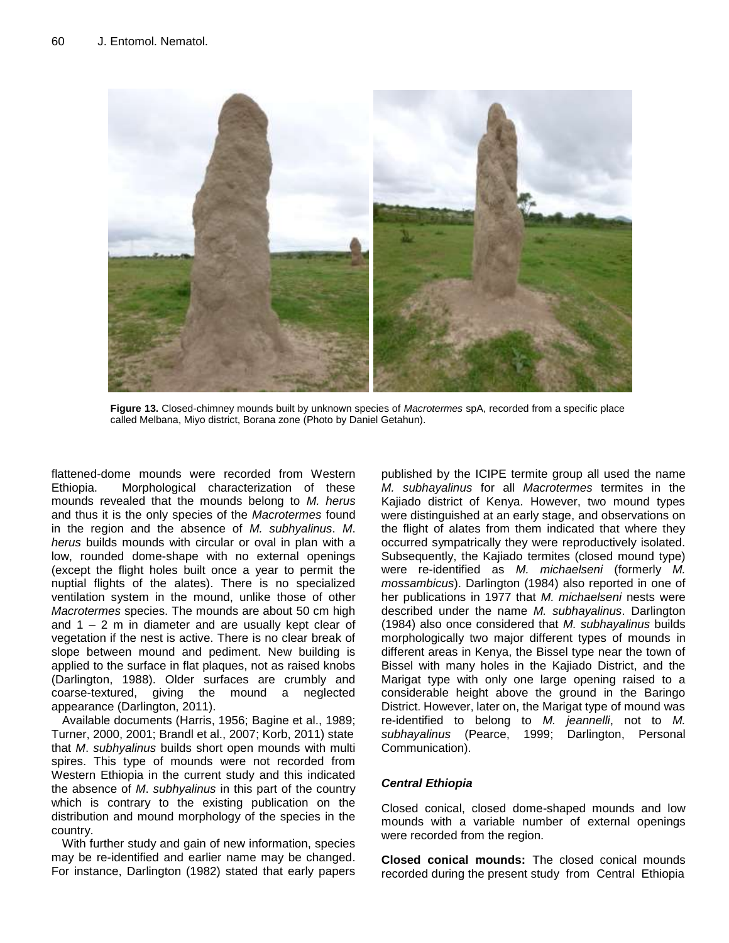

**Figure 13.** Closed-chimney mounds built by unknown species of *Macrotermes* spA, recorded from a specific place called Melbana, Miyo district, Borana zone (Photo by Daniel Getahun).

flattened-dome mounds were recorded from Western Ethiopia. Morphological characterization of these mounds revealed that the mounds belong to *M. herus* and thus it is the only species of the *Macrotermes* found in the region and the absence of *M. subhyalinus*. *M*. *herus* builds mounds with circular or oval in plan with a low, rounded dome-shape with no external openings (except the flight holes built once a year to permit the nuptial flights of the alates). There is no specialized ventilation system in the mound, unlike those of other *Macrotermes* species. The mounds are about 50 cm high and  $1 - 2$  m in diameter and are usually kept clear of vegetation if the nest is active. There is no clear break of slope between mound and pediment. New building is applied to the surface in flat plaques, not as raised knobs (Darlington, 1988). Older surfaces are crumbly and coarse-textured, giving the mound a neglected appearance (Darlington, 2011).

Available documents (Harris, 1956; Bagine et al., 1989; Turner, 2000, 2001; Brandl et al., 2007; Korb, 2011) state that *M*. *subhyalinus* builds short open mounds with multi spires. This type of mounds were not recorded from Western Ethiopia in the current study and this indicated the absence of *M*. *subhyalinus* in this part of the country which is contrary to the existing publication on the distribution and mound morphology of the species in the country.

With further study and gain of new information, species may be re-identified and earlier name may be changed. For instance, Darlington (1982) stated that early papers published by the ICIPE termite group all used the name *M. subhayalinus* for all *Macrotermes* termites in the Kajiado district of Kenya. However, two mound types were distinguished at an early stage, and observations on the flight of alates from them indicated that where they occurred sympatrically they were reproductively isolated. Subsequently, the Kajiado termites (closed mound type) were re-identified as *M. michaelseni* (formerly *M. mossambicus*). Darlington (1984) also reported in one of her publications in 1977 that *M. michaelseni* nests were described under the name *M. subhayalinus*. Darlington (1984) also once considered that *M. subhayalinus* builds morphologically two major different types of mounds in different areas in Kenya, the Bissel type near the town of Bissel with many holes in the Kajiado District, and the Marigat type with only one large opening raised to a considerable height above the ground in the Baringo District. However, later on, the Marigat type of mound was re-identified to belong to *M. jeannelli*, not to *M. subhayalinus* (Pearce, 1999; Darlington, Personal Communication).

# *Central Ethiopia*

Closed conical, closed dome-shaped mounds and low mounds with a variable number of external openings were recorded from the region.

**Closed conical mounds:** The closed conical mounds recorded during the present study from Central Ethiopia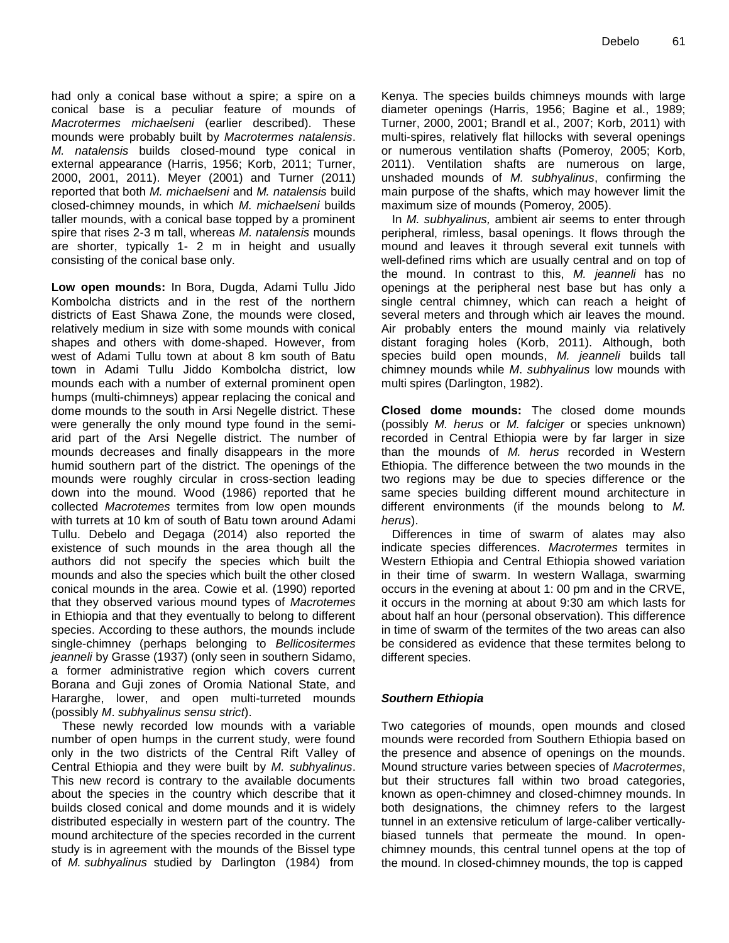had only a conical base without a spire; a spire on a conical base is a peculiar feature of mounds of *Macrotermes michaelseni* (earlier described). These mounds were probably built by *Macrotermes natalensis*. *M. natalensis* builds closed-mound type conical in external appearance (Harris, 1956; Korb, 2011; Turner, 2000, 2001, 2011). Meyer (2001) and Turner (2011) reported that both *M. michaelseni* and *M. natalensis* build closed-chimney mounds, in which *M. michaelseni* builds taller mounds, with a conical base topped by a prominent spire that rises 2-3 m tall, whereas *M. natalensis* mounds are shorter, typically 1- 2 m in height and usually consisting of the conical base only.

**Low open mounds:** In Bora, Dugda, Adami Tullu Jido Kombolcha districts and in the rest of the northern districts of East Shawa Zone, the mounds were closed, relatively medium in size with some mounds with conical shapes and others with dome-shaped. However, from west of Adami Tullu town at about 8 km south of Batu town in Adami Tullu Jiddo Kombolcha district, low mounds each with a number of external prominent open humps (multi-chimneys) appear replacing the conical and dome mounds to the south in Arsi Negelle district. These were generally the only mound type found in the semiarid part of the Arsi Negelle district. The number of mounds decreases and finally disappears in the more humid southern part of the district. The openings of the mounds were roughly circular in cross-section leading down into the mound. Wood (1986) reported that he collected *Macrotemes* termites from low open mounds with turrets at 10 km of south of Batu town around Adami Tullu. Debelo and Degaga (2014) also reported the existence of such mounds in the area though all the authors did not specify the species which built the mounds and also the species which built the other closed conical mounds in the area. Cowie et al. (1990) reported that they observed various mound types of *Macrotemes* in Ethiopia and that they eventually to belong to different species. According to these authors, the mounds include single-chimney (perhaps belonging to *Bellicositermes jeanneli* by Grasse (1937) (only seen in southern Sidamo, a former administrative region which covers current Borana and Guji zones of Oromia National State, and Hararghe, lower, and open multi-turreted mounds (possibly *M*. *subhyalinus sensu strict*).

These newly recorded low mounds with a variable number of open humps in the current study, were found only in the two districts of the Central Rift Valley of Central Ethiopia and they were built by *M. subhyalinus*. This new record is contrary to the available documents about the species in the country which describe that it builds closed conical and dome mounds and it is widely distributed especially in western part of the country. The mound architecture of the species recorded in the current study is in agreement with the mounds of the Bissel type of *M. subhyalinus* studied by Darlington (1984) from

Kenya. The species builds chimneys mounds with large diameter openings (Harris, 1956; Bagine et al., 1989; Turner, 2000, 2001; Brandl et al., 2007; Korb, 2011) with multi-spires, relatively flat hillocks with several openings or numerous ventilation shafts (Pomeroy, 2005; Korb, 2011). Ventilation shafts are numerous on large, unshaded mounds of *M. subhyalinus*, confirming the main purpose of the shafts, which may however limit the maximum size of mounds (Pomeroy, 2005).

In *M. subhyalinus,* ambient air seems to enter through peripheral, rimless, basal openings. It flows through the mound and leaves it through several exit tunnels with well-defined rims which are usually central and on top of the mound. In contrast to this, *M. jeanneli* has no openings at the peripheral nest base but has only a single central chimney, which can reach a height of several meters and through which air leaves the mound. Air probably enters the mound mainly via relatively distant foraging holes (Korb, 2011). Although, both species build open mounds, *M. jeanneli* builds tall chimney mounds while *M*. *subhyalinus* low mounds with multi spires (Darlington, 1982).

**Closed dome mounds:** The closed dome mounds (possibly *M. herus* or *M. falciger* or species unknown) recorded in Central Ethiopia were by far larger in size than the mounds of *M. herus* recorded in Western Ethiopia. The difference between the two mounds in the two regions may be due to species difference or the same species building different mound architecture in different environments (if the mounds belong to *M. herus*).

Differences in time of swarm of alates may also indicate species differences. *Macrotermes* termites in Western Ethiopia and Central Ethiopia showed variation in their time of swarm. In western Wallaga, swarming occurs in the evening at about 1: 00 pm and in the CRVE, it occurs in the morning at about 9:30 am which lasts for about half an hour (personal observation). This difference in time of swarm of the termites of the two areas can also be considered as evidence that these termites belong to different species.

# *Southern Ethiopia*

Two categories of mounds, open mounds and closed mounds were recorded from Southern Ethiopia based on the presence and absence of openings on the mounds. Mound structure varies between species of *Macrotermes*, but their structures fall within two broad categories, known as open-chimney and closed-chimney mounds. In both designations, the chimney refers to the largest tunnel in an extensive reticulum of large-caliber verticallybiased tunnels that permeate the mound. In openchimney mounds, this central tunnel opens at the top of the mound. In closed-chimney mounds, the top is capped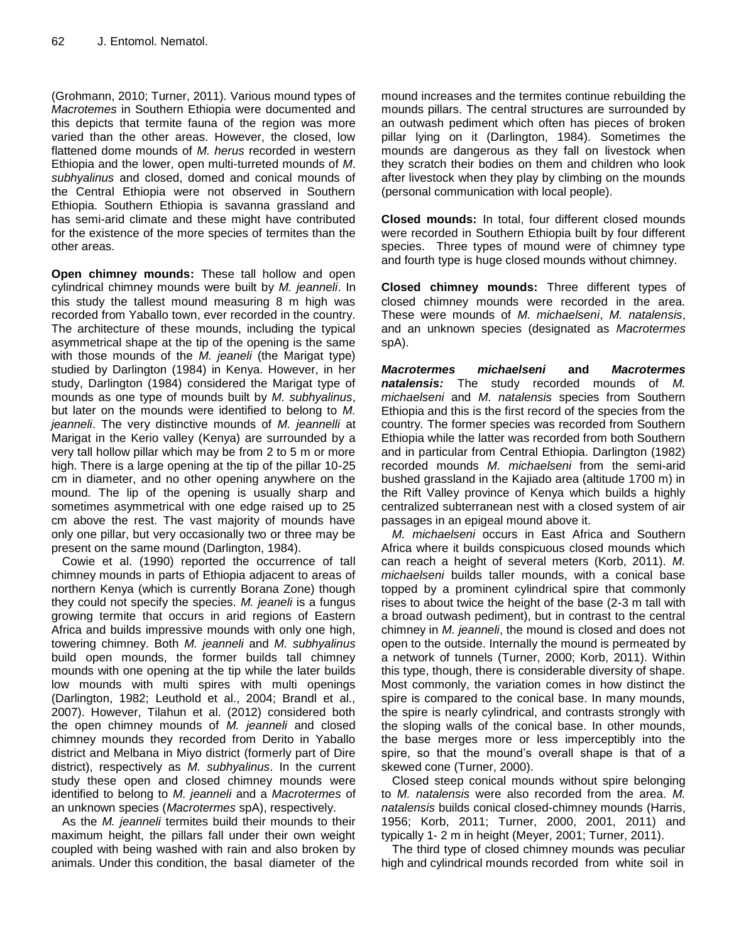(Grohmann, 2010; Turner, 2011). Various mound types of *Macrotemes* in Southern Ethiopia were documented and this depicts that termite fauna of the region was more varied than the other areas. However, the closed, low flattened dome mounds of *M. herus* recorded in western Ethiopia and the lower, open multi-turreted mounds of *M*. *subhyalinus* and closed, domed and conical mounds of the Central Ethiopia were not observed in Southern Ethiopia. Southern Ethiopia is savanna grassland and has semi-arid climate and these might have contributed for the existence of the more species of termites than the other areas.

**Open chimney mounds:** These tall hollow and open cylindrical chimney mounds were built by *M. jeanneli*. In this study the tallest mound measuring 8 m high was recorded from Yaballo town, ever recorded in the country. The architecture of these mounds, including the typical asymmetrical shape at the tip of the opening is the same with those mounds of the *M. jeaneli* (the Marigat type) studied by Darlington (1984) in Kenya. However, in her study, Darlington (1984) considered the Marigat type of mounds as one type of mounds built by *M. subhyalinus*, but later on the mounds were identified to belong to *M. jeanneli*. The very distinctive mounds of *M. jeannelli* at Marigat in the Kerio valley (Kenya) are surrounded by a very tall hollow pillar which may be from 2 to 5 m or more high. There is a large opening at the tip of the pillar 10-25 cm in diameter, and no other opening anywhere on the mound. The lip of the opening is usually sharp and sometimes asymmetrical with one edge raised up to 25 cm above the rest. The vast majority of mounds have only one pillar, but very occasionally two or three may be present on the same mound (Darlington, 1984).

Cowie et al. (1990) reported the occurrence of tall chimney mounds in parts of Ethiopia adjacent to areas of northern Kenya (which is currently Borana Zone) though they could not specify the species. *M. jeaneli* is a fungus growing termite that occurs in arid regions of Eastern Africa and builds impressive mounds with only one high, towering chimney. Both *M. jeanneli* and *M. subhyalinus* build open mounds, the former builds tall chimney mounds with one opening at the tip while the later builds low mounds with multi spires with multi openings (Darlington, 1982; Leuthold et al., 2004; Brandl et al., 2007). However, Tilahun et al. (2012) considered both the open chimney mounds of *M. jeanneli* and closed chimney mounds they recorded from Derito in Yaballo district and Melbana in Miyo district (formerly part of Dire district), respectively as *M. subhyalinus*. In the current study these open and closed chimney mounds were identified to belong to *M. jeanneli* and a *Macrotermes* of an unknown species (*Macrotermes* spA), respectively.

As the *M. jeanneli* termites build their mounds to their maximum height, the pillars fall under their own weight coupled with being washed with rain and also broken by animals. Under this condition, the basal diameter of the

mound increases and the termites continue rebuilding the mounds pillars. The central structures are surrounded by an outwash pediment which often has pieces of broken pillar lying on it (Darlington, 1984). Sometimes the mounds are dangerous as they fall on livestock when they scratch their bodies on them and children who look after livestock when they play by climbing on the mounds (personal communication with local people).

**Closed mounds:** In total, four different closed mounds were recorded in Southern Ethiopia built by four different species. Three types of mound were of chimney type and fourth type is huge closed mounds without chimney.

**Closed chimney mounds:** Three different types of closed chimney mounds were recorded in the area. These were mounds of *M. michaelseni*, *M. natalensis*, and an unknown species (designated as *Macrotermes* spA).

*Macrotermes michaelseni* **and** *Macrotermes natalensis:* The study recorded mounds of *M. michaelseni* and *M*. *natalensis* species from Southern Ethiopia and this is the first record of the species from the country. The former species was recorded from Southern Ethiopia while the latter was recorded from both Southern and in particular from Central Ethiopia. Darlington (1982) recorded mounds *M. michaelseni* from the semi-arid bushed grassland in the Kajiado area (altitude 1700 m) in the Rift Valley province of Kenya which builds a highly centralized subterranean nest with a closed system of air passages in an epigeal mound above it.

*M. michaelseni* occurs in East Africa and Southern Africa where it builds conspicuous closed mounds which can reach a height of several meters (Korb, 2011). *M. michaelseni* builds taller mounds, with a conical base topped by a prominent cylindrical spire that commonly rises to about twice the height of the base (2-3 m tall with a broad outwash pediment), but in contrast to the central chimney in *M. jeanneli*, the mound is closed and does not open to the outside. Internally the mound is permeated by a network of tunnels (Turner, 2000; Korb, 2011). Within this type, though, there is considerable diversity of shape. Most commonly, the variation comes in how distinct the spire is compared to the conical base. In many mounds, the spire is nearly cylindrical, and contrasts strongly with the sloping walls of the conical base. In other mounds, the base merges more or less imperceptibly into the spire, so that the mound's overall shape is that of a skewed cone (Turner, 2000).

Closed steep conical mounds without spire belonging to *M. natalensis* were also recorded from the area. *M. natalensis* builds conical closed-chimney mounds (Harris, 1956; Korb, 2011; Turner, 2000, 2001, 2011) and typically 1- 2 m in height (Meyer, 2001; Turner, 2011).

The third type of closed chimney mounds was peculiar high and cylindrical mounds recorded from white soil in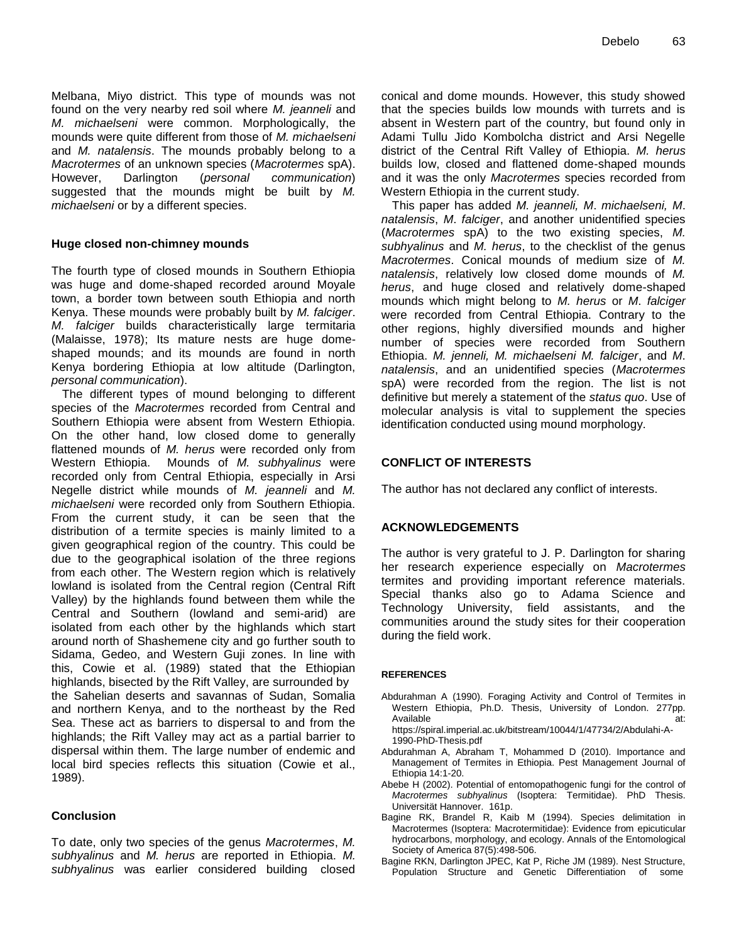Melbana, Miyo district. This type of mounds was not found on the very nearby red soil where *M. jeanneli* and *M. michaelseni* were common. Morphologically, the mounds were quite different from those of *M. michaelseni* and *M. natalensis*. The mounds probably belong to a *Macrotermes* of an unknown species (*Macrotermes* spA). However, Darlington (*personal communication*) suggested that the mounds might be built by *M. michaelseni* or by a different species.

# **Huge closed non-chimney mounds**

The fourth type of closed mounds in Southern Ethiopia was huge and dome-shaped recorded around Moyale town, a border town between south Ethiopia and north Kenya. These mounds were probably built by *M. falciger*. *M. falciger* builds characteristically large termitaria (Malaisse, 1978); Its mature nests are huge domeshaped mounds; and its mounds are found in north Kenya bordering Ethiopia at low altitude (Darlington, *personal communication*).

The different types of mound belonging to different species of the *Macrotermes* recorded from Central and Southern Ethiopia were absent from Western Ethiopia. On the other hand, low closed dome to generally flattened mounds of *M. herus* were recorded only from Western Ethiopia. Mounds of *M. subhyalinus* were recorded only from Central Ethiopia, especially in Arsi Negelle district while mounds of *M. jeanneli* and *M. michaelseni* were recorded only from Southern Ethiopia. From the current study, it can be seen that the distribution of a termite species is mainly limited to a given geographical region of the country. This could be due to the geographical isolation of the three regions from each other. The Western region which is relatively lowland is isolated from the Central region (Central Rift Valley) by the highlands found between them while the Central and Southern (lowland and semi-arid) are isolated from each other by the highlands which start around north of Shashemene city and go further south to Sidama, Gedeo, and Western Guji zones. In line with this, Cowie et al. (1989) stated that the Ethiopian highlands, bisected by the Rift Valley, are surrounded by the Sahelian deserts and savannas of Sudan, Somalia and northern Kenya, and to the northeast by the Red Sea. These act as barriers to dispersal to and from the highlands; the Rift Valley may act as a partial barrier to dispersal within them. The large number of endemic and local bird species reflects this situation (Cowie et al., 1989).

# **Conclusion**

To date, only two species of the genus *Macrotermes*, *M. subhyalinus* and *M. herus* are reported in Ethiopia. *M. subhyalinus* was earlier considered building closed conical and dome mounds. However, this study showed that the species builds low mounds with turrets and is absent in Western part of the country, but found only in Adami Tullu Jido Kombolcha district and Arsi Negelle district of the Central Rift Valley of Ethiopia. *M. herus* builds low, closed and flattened dome-shaped mounds and it was the only *Macrotermes* species recorded from Western Ethiopia in the current study.

This paper has added *M. jeanneli, M*. *michaelseni, M*. *natalensis*, *M*. *falciger*, and another unidentified species (*Macrotermes* spA) to the two existing species, *M. subhyalinus* and *M. herus*, to the checklist of the genus *Macrotermes*. Conical mounds of medium size of *M. natalensis*, relatively low closed dome mounds of *M. herus*, and huge closed and relatively dome-shaped mounds which might belong to *M. herus* or *M*. *falciger* were recorded from Central Ethiopia. Contrary to the other regions, highly diversified mounds and higher number of species were recorded from Southern Ethiopia. *M. jenneli, M. michaelseni M. falciger*, and *M*. *natalensis*, and an unidentified species (*Macrotermes* spA) were recorded from the region. The list is not definitive but merely a statement of the *status quo*. Use of molecular analysis is vital to supplement the species identification conducted using mound morphology.

# **CONFLICT OF INTERESTS**

The author has not declared any conflict of interests.

# **ACKNOWLEDGEMENTS**

The author is very grateful to J. P. Darlington for sharing her research experience especially on *Macrotermes* termites and providing important reference materials. Special thanks also go to Adama Science and Technology University, field assistants, and the communities around the study sites for their cooperation during the field work.

#### **REFERENCES**

Abdurahman A (1990). Foraging Activity and Control of Termites in Western Ethiopia, Ph.D. Thesis, University of London. 277pp. Available at:

https://spiral.imperial.ac.uk/bitstream/10044/1/47734/2/Abdulahi-A-1990-PhD-Thesis.pdf

- Abdurahman A, Abraham T, Mohammed D (2010). Importance and Management of Termites in Ethiopia. Pest Management Journal of Ethiopia 14:1-20.
- Abebe H (2002). Potential of entomopathogenic fungi for the control of *Macrotermes subhyalinus* (Isoptera: Termitidae). PhD Thesis. Universität Hannover. 161p.
- Bagine RK, Brandel R, Kaib M (1994). Species delimitation in Macrotermes (Isoptera: Macrotermitidae): Evidence from epicuticular hydrocarbons, morphology, and ecology. Annals of the Entomological Society of America 87(5):498-506.
- Bagine RKN, Darlington JPEC, Kat P, Riche JM (1989). Nest Structure, Population Structure and Genetic Differentiation of some